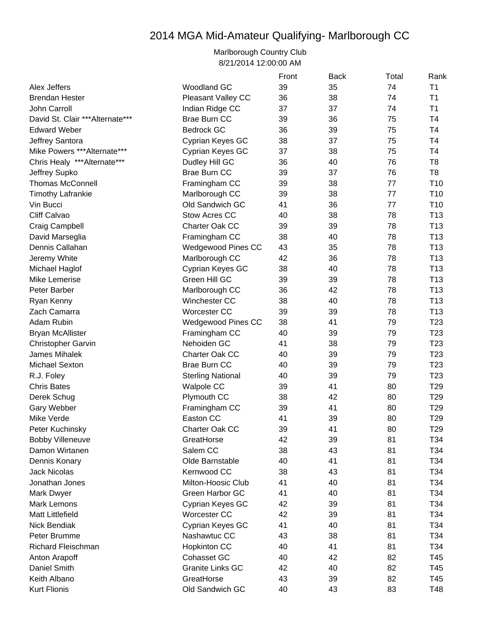## 2014 MGA Mid-Amateur Qualifying- Marlborough CC

Marlborough Country Club 8/21/2014 12:00:00 AM

|                                  |                          | Front | <b>Back</b> | Total | Rank            |
|----------------------------------|--------------------------|-------|-------------|-------|-----------------|
| Alex Jeffers                     | <b>Woodland GC</b>       | 39    | 35          | 74    | T1              |
| <b>Brendan Hester</b>            | Pleasant Valley CC       | 36    | 38          | 74    | T1              |
| John Carroll                     | Indian Ridge CC          | 37    | 37          | 74    | T <sub>1</sub>  |
| David St. Clair *** Alternate*** | <b>Brae Burn CC</b>      | 39    | 36          | 75    | <b>T4</b>       |
| <b>Edward Weber</b>              | <b>Bedrock GC</b>        | 36    | 39          | 75    | T <sub>4</sub>  |
| Jeffrey Santora                  | Cyprian Keyes GC         | 38    | 37          | 75    | T4              |
| Mike Powers *** Alternate***     | Cyprian Keyes GC         | 37    | 38          | 75    | T <sub>4</sub>  |
| Chris Healy *** Alternate***     | Dudley Hill GC           | 36    | 40          | 76    | T <sub>8</sub>  |
| Jeffrey Supko                    | <b>Brae Burn CC</b>      | 39    | 37          | 76    | T8              |
| <b>Thomas McConnell</b>          | Framingham CC            | 39    | 38          | 77    | T <sub>10</sub> |
| <b>Timothy Lafrankie</b>         | Marlborough CC           | 39    | 38          | 77    | T <sub>10</sub> |
| Vin Bucci                        | Old Sandwich GC          | 41    | 36          | 77    | T <sub>10</sub> |
| Cliff Calvao                     | Stow Acres CC            | 40    | 38          | 78    | T <sub>13</sub> |
| Craig Campbell                   | Charter Oak CC           | 39    | 39          | 78    | T <sub>13</sub> |
| David Marseglia                  | Framingham CC            | 38    | 40          | 78    | T <sub>13</sub> |
| Dennis Callahan                  | Wedgewood Pines CC       | 43    | 35          | 78    | T <sub>13</sub> |
| Jeremy White                     | Marlborough CC           | 42    | 36          | 78    | T <sub>13</sub> |
| Michael Haglof                   | Cyprian Keyes GC         | 38    | 40          | 78    | T <sub>13</sub> |
| Mike Lemerise                    | Green Hill GC            | 39    | 39          | 78    | T <sub>13</sub> |
| Peter Barber                     | Marlborough CC           | 36    | 42          | 78    | T <sub>13</sub> |
| Ryan Kenny                       | Winchester CC            | 38    | 40          | 78    | T <sub>13</sub> |
| Zach Camarra                     | <b>Worcester CC</b>      | 39    | 39          | 78    | T <sub>13</sub> |
| Adam Rubin                       | Wedgewood Pines CC       | 38    | 41          | 79    | T <sub>23</sub> |
| <b>Bryan McAllister</b>          | Framingham CC            | 40    | 39          | 79    | T <sub>23</sub> |
| <b>Christopher Garvin</b>        | Nehoiden GC              | 41    | 38          | 79    | T <sub>23</sub> |
| James Mihalek                    | Charter Oak CC           | 40    | 39          | 79    | T <sub>23</sub> |
| <b>Michael Sexton</b>            | <b>Brae Burn CC</b>      | 40    | 39          | 79    | T <sub>23</sub> |
| R.J. Foley                       | <b>Sterling National</b> | 40    | 39          | 79    | T <sub>23</sub> |
| <b>Chris Bates</b>               | Walpole CC               | 39    | 41          | 80    | T <sub>29</sub> |
| Derek Schug                      | Plymouth CC              | 38    | 42          | 80    | T <sub>29</sub> |
| Gary Webber                      | Framingham CC            | 39    | 41          | 80    | T <sub>29</sub> |
| Mike Verde                       | Easton CC                | 41    | 39          | 80    | T <sub>29</sub> |
| Peter Kuchinsky                  | Charter Oak CC           | 39    | 41          | 80    | T <sub>29</sub> |
| <b>Bobby Villeneuve</b>          | GreatHorse               | 42    | 39          | 81    | T34             |
| Damon Wirtanen                   | Salem CC                 | 38    | 43          | 81    | T34             |
| Dennis Konary                    | Olde Barnstable          | 40    | 41          | 81    | T34             |
| <b>Jack Nicolas</b>              | Kernwood CC              | 38    | 43          | 81    | T34             |
| Jonathan Jones                   | Milton-Hoosic Club       | 41    | 40          | 81    | T34             |
| Mark Dwyer                       | Green Harbor GC          | 41    | 40          | 81    | T34             |
| <b>Mark Lemons</b>               | Cyprian Keyes GC         | 42    | 39          | 81    | T34             |
| <b>Matt Littlefield</b>          | Worcester CC             | 42    | 39          | 81    | T34             |
| Nick Bendiak                     | Cyprian Keyes GC         | 41    | 40          | 81    | T34             |
| Peter Brumme                     | Nashawtuc CC             | 43    | 38          | 81    | T34             |
| Richard Fleischman               | <b>Hopkinton CC</b>      | 40    | 41          | 81    | T34             |
| Anton Arapoff                    | Cohasset GC              | 40    | 42          | 82    | T45             |
| Daniel Smith                     | <b>Granite Links GC</b>  | 42    | 40          | 82    | T45             |
| Keith Albano                     | GreatHorse               | 43    | 39          | 82    | T45             |
| <b>Kurt Flionis</b>              | Old Sandwich GC          | 40    | 43          | 83    | T48             |